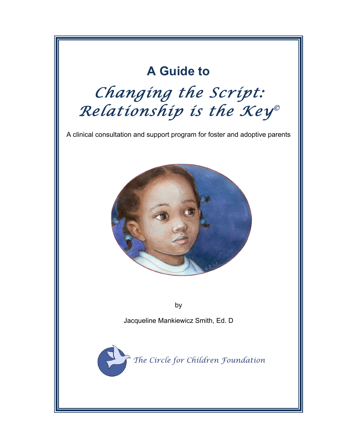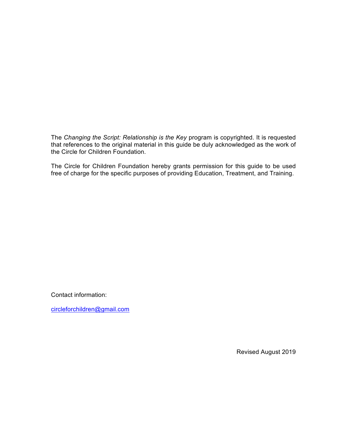The *Changing the Script: Relationship is the Key* program is copyrighted. It is requested that references to the original material in this guide be duly acknowledged as the work of the Circle for Children Foundation.

The Circle for Children Foundation hereby grants permission for this guide to be used free of charge for the specific purposes of providing Education, Treatment, and Training.

Contact information:

circleforchildren@gmail.com

Revised August 2019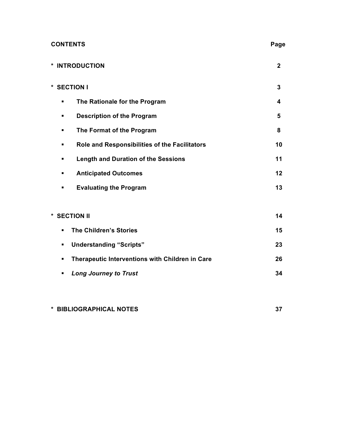| <b>CONTENTS</b>                                    | Page         |
|----------------------------------------------------|--------------|
| * INTRODUCTION                                     | $\mathbf{2}$ |
| * SECTION I                                        | 3            |
| The Rationale for the Program<br>٠                 | 4            |
| <b>Description of the Program</b><br>٠             | 5            |
| The Format of the Program<br>٠                     | 8            |
| Role and Responsibilities of the Facilitators<br>٠ | 10           |
| <b>Length and Duration of the Sessions</b><br>٠    | 11           |
| <b>Anticipated Outcomes</b><br>٠                   | 12           |
| <b>Evaluating the Program</b><br>٠                 | 13           |
|                                                    |              |
| * SECTION II                                       | 14           |
| <b>The Children's Stories</b><br>٠                 | 15           |
| <b>Understanding "Scripts"</b><br>٠                | 23           |

| • Therapeutic Interventions with Children in Care | 26 |
|---------------------------------------------------|----|
| • Long Journey to Trust                           | 34 |

# **\* BIBLIOGRAPHICAL NOTES 37**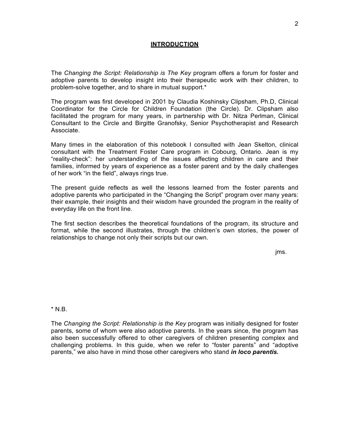#### **INTRODUCTION**

The *Changing the Script: Relationship is The Key* program offers a forum for foster and adoptive parents to develop insight into their therapeutic work with their children, to problem-solve together, and to share in mutual support.\*

The program was first developed in 2001 by Claudia Koshinsky Clipsham, Ph.D, Clinical Coordinator for the Circle for Children Foundation (the Circle). Dr. Clipsham also facilitated the program for many years, in partnership with Dr. Nitza Perlman, Clinical Consultant to the Circle and Birgitte Granofsky, Senior Psychotherapist and Research Associate.

Many times in the elaboration of this notebook I consulted with Jean Skelton, clinical consultant with the Treatment Foster Care program in Cobourg, Ontario. Jean is my "reality-check": her understanding of the issues affecting children in care and their families, informed by years of experience as a foster parent and by the daily challenges of her work "in the field", always rings true.

The present guide reflects as well the lessons learned from the foster parents and adoptive parents who participated in the "Changing the Script" program over many years: their example, their insights and their wisdom have grounded the program in the reality of everyday life on the front line.

The first section describes the theoretical foundations of the program, its structure and format, while the second illustrates, through the children's own stories, the power of relationships to change not only their scripts but our own.

jms.

 $*$  N.B.

The *Changing the Script: Relationship is the Key* program was initially designed for foster parents, some of whom were also adoptive parents. In the years since, the program has also been successfully offered to other caregivers of children presenting complex and challenging problems. In this guide, when we refer to "foster parents" and "adoptive parents," we also have in mind those other caregivers who stand *in loco parentis.*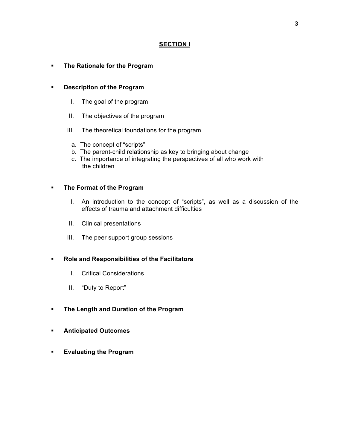## **SECTION I**

## § **The Rationale for the Program**

## § **Description of the Program**

- I. The goal of the program
- II. The objectives of the program
- III. The theoretical foundations for the program
	- a. The concept of "scripts"
	- b. The parent-child relationship as key to bringing about change
	- c. The importance of integrating the perspectives of all who work with the children

## § **The Format of the Program**

- I. An introduction to the concept of "scripts", as well as a discussion of the effects of trauma and attachment difficulties
- II. Clinical presentations
- III. The peer support group sessions

## § **Role and Responsibilities of the Facilitators**

- I. Critical Considerations
- II. "Duty to Report"
- § **The Length and Duration of the Program**
- § **Anticipated Outcomes**
- § **Evaluating the Program**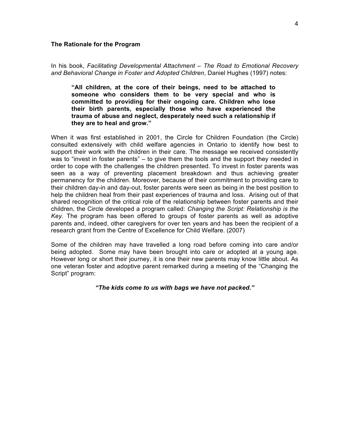#### **The Rationale for the Program**

#### In his book, *Facilitating Developmental Attachment – The Road to Emotional Recovery and Behavioral Change in Foster and Adopted Children*, Daniel Hughes (1997) notes:

**"All children, at the core of their beings, need to be attached to someone who considers them to be very special and who is committed to providing for their ongoing care. Children who lose their birth parents, especially those who have experienced the trauma of abuse and neglect, desperately need such a relationship if they are to heal and grow."** 

When it was first established in 2001, the Circle for Children Foundation (the Circle) consulted extensively with child welfare agencies in Ontario to identify how best to support their work with the children in their care. The message we received consistently was to "invest in foster parents" – to give them the tools and the support they needed in order to cope with the challenges the children presented. To invest in foster parents was seen as a way of preventing placement breakdown and thus achieving greater permanency for the children. Moreover, because of their commitment to providing care to their children day-in and day-out, foster parents were seen as being in the best position to help the children heal from their past experiences of trauma and loss. Arising out of that shared recognition of the critical role of the relationship between foster parents and their children, the Circle developed a program called: *Changing the Script: Relationship is the Key*. The program has been offered to groups of foster parents as well as adoptive parents and, indeed, other caregivers for over ten years and has been the recipient of a research grant from the Centre of Excellence for Child Welfare. (2007)

Some of the children may have travelled a long road before coming into care and/or being adopted. Some may have been brought into care or adopted at a young age. However long or short their journey, it is one their new parents may know little about. As one veteran foster and adoptive parent remarked during a meeting of the "Changing the Script" program:

*"The kids come to us with bags we have not packed."*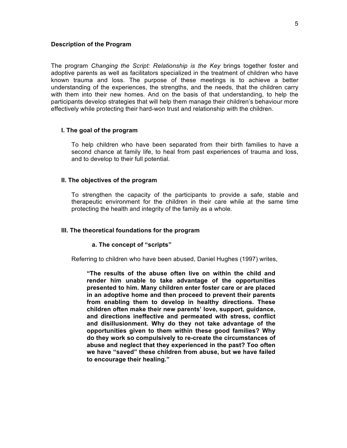#### **Description of the Program**

The program *Changing the Script: Relationship is the Key* brings together foster and adoptive parents as well as facilitators specialized in the treatment of children who have known trauma and loss. The purpose of these meetings is to achieve a better understanding of the experiences, the strengths, and the needs, that the children carry with them into their new homes. And on the basis of that understanding, to help the participants develop strategies that will help them manage their children's behaviour more effectively while protecting their hard-won trust and relationship with the children.

### **I. The goal of the program**

To help children who have been separated from their birth families to have a second chance at family life, to heal from past experiences of trauma and loss, and to develop to their full potential.

#### **II. The objectives of the program**

To strengthen the capacity of the participants to provide a safe, stable and therapeutic environment for the children in their care while at the same time protecting the health and integrity of the family as a whole.

#### **III. The theoretical foundations for the program**

#### **a. The concept of "scripts"**

Referring to children who have been abused, Daniel Hughes (1997) writes,

**"The results of the abuse often live on within the child and render him unable to take advantage of the opportunities presented to him. Many children enter foster care or are placed in an adoptive home and then proceed to prevent their parents from enabling them to develop in healthy directions. These children often make their new parents' love, support, guidance, and directions ineffective and permeated with stress, conflict and disillusionment. Why do they not take advantage of the opportunities given to them within these good families? Why do they work so compulsively to re-create the circumstances of abuse and neglect that they experienced in the past? Too often we have "saved" these children from abuse, but we have failed to encourage their healing."**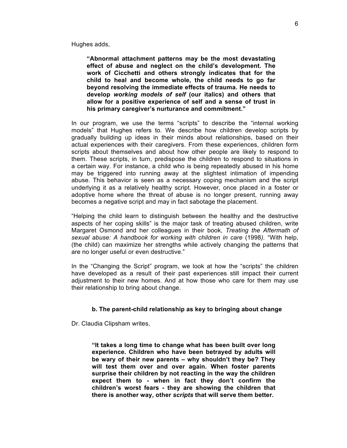Hughes adds,

**"Abnormal attachment patterns may be the most devastating effect of abuse and neglect on the child's development. The work of Cicchetti and others strongly indicates that for the child to heal and become whole, the child needs to go far beyond resolving the immediate effects of trauma. He needs to develop** *working models of self* **(our italics) and others that allow for a positive experience of self and a sense of trust in his primary caregiver's nurturance and commitment."**

In our program, we use the terms "scripts" to describe the "internal working models" that Hughes refers to. We describe how children develop scripts by gradually building up ideas in their minds about relationships, based on their actual experiences with their caregivers. From these experiences, children form scripts about themselves and about how other people are likely to respond to them. These scripts, in turn, predispose the children to respond to situations in a certain way. For instance, a child who is being repeatedly abused in his home may be triggered into running away at the slightest intimation of impending abuse. This behavior is seen as a necessary coping mechanism and the script underlying it as a relatively healthy script. However, once placed in a foster or adoptive home where the threat of abuse is no longer present, running away becomes a negative script and may in fact sabotage the placement.

"Helping the child learn to distinguish between the healthy and the destructive aspects of her coping skills" is the major task of treating abused children, write Margaret Osmond and her colleagues in their book, *Treating the Aftermath of sexual abuse: A handbook for working with children in care* (1998*).* "With help, (the child) can maximize her strengths while actively changing the patterns that are no longer useful or even destructive."

In the "Changing the Script" program, we look at how the "scripts" the children have developed as a result of their past experiences still impact their current adiustment to their new homes. And at how those who care for them may use their relationship to bring about change.

#### **b. The parent-child relationship as key to bringing about change**

Dr. Claudia Clipsham writes,

**"It takes a long time to change what has been built over long experience. Children who have been betrayed by adults will be wary of their new parents – why shouldn't they be? They will test them over and over again. When foster parents surprise their children by not reacting in the way the children expect them to - when in fact they don't confirm the children's worst fears - they are showing the children that there is another way, other** *scripts* **that will serve them better.**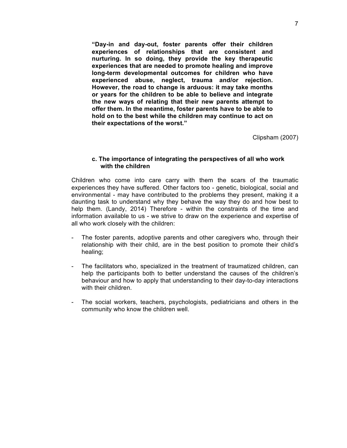**"Day-in and day-out, foster parents offer their children experiences of relationships that are consistent and nurturing. In so doing, they provide the key therapeutic experiences that are needed to promote healing and improve long-term developmental outcomes for children who have experienced abuse, neglect, trauma and/or rejection. However, the road to change is arduous: it may take months or years for the children to be able to believe and integrate the new ways of relating that their new parents attempt to offer them. In the meantime, foster parents have to be able to hold on to the best while the children may continue to act on their expectations of the worst."**

Clipsham (2007)

#### **c. The importance of integrating the perspectives of all who work with the children**

Children who come into care carry with them the scars of the traumatic experiences they have suffered. Other factors too - genetic, biological, social and environmental - may have contributed to the problems they present, making it a daunting task to understand why they behave the way they do and how best to help them. (Landy, 2014) Therefore - within the constraints of the time and information available to us - we strive to draw on the experience and expertise of all who work closely with the children:

- The foster parents, adoptive parents and other caregivers who, through their relationship with their child, are in the best position to promote their child's healing;
- The facilitators who, specialized in the treatment of traumatized children, can help the participants both to better understand the causes of the children's behaviour and how to apply that understanding to their day-to-day interactions with their children.
- The social workers, teachers, psychologists, pediatricians and others in the community who know the children well.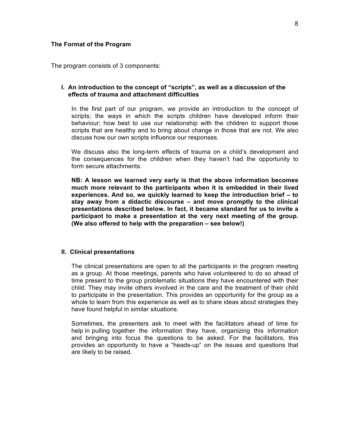#### **The Format of the Program**

The program consists of 3 components:

### **I. An introduction to the concept of "scripts", as well as a discussion of the effects of trauma and attachment difficulties**

In the first part of our program, we provide an introduction to the concept of scripts; the ways in which the scripts children have developed inform their behaviour; how best to use our relationship with the children to support those scripts that are healthy and to bring about change in those that are not. We also discuss how our own scripts influence our responses.

We discuss also the long-term effects of trauma on a child's development and the consequences for the children when they haven't had the opportunity to form secure attachments.

**NB: A lesson we learned very early is that the above information becomes much more relevant to the participants when it is embedded in their lived experiences. And so, we quickly learned to keep the introduction brief – to stay away from a didactic discourse – and move promptly to the clinical presentations described below. In fact, it became standard for us to invite a participant to make a presentation at the very next meeting of the group. (We also offered to help with the preparation – see below!)**

#### **II. Clinical presentations**

The clinical presentations are open to all the participants in the program meeting as a group. At those meetings, parents who have volunteered to do so ahead of time present to the group problematic situations they have encountered with their child. They may invite others involved in the care and the treatment of their child to participate in the presentation. This provides an opportunity for the group as a whole to learn from this experience as well as to share ideas about strategies they have found helpful in similar situations.

Sometimes, the presenters ask to meet with the facilitators ahead of time for help in pulling together the information they have, organizing this information and bringing into focus the questions to be asked. For the facilitators, this provides an opportunity to have a "heads-up" on the issues and questions that are likely to be raised.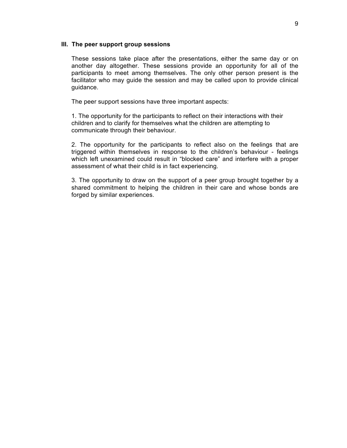#### **III. The peer support group sessions**

These sessions take place after the presentations, either the same day or on another day altogether. These sessions provide an opportunity for all of the participants to meet among themselves. The only other person present is the facilitator who may guide the session and may be called upon to provide clinical guidance.

The peer support sessions have three important aspects:

1. The opportunity for the participants to reflect on their interactions with their children and to clarify for themselves what the children are attempting to communicate through their behaviour.

2. The opportunity for the participants to reflect also on the feelings that are triggered within themselves in response to the children's behaviour - feelings which left unexamined could result in "blocked care" and interfere with a proper assessment of what their child is in fact experiencing.

3. The opportunity to draw on the support of a peer group brought together by a shared commitment to helping the children in their care and whose bonds are forged by similar experiences.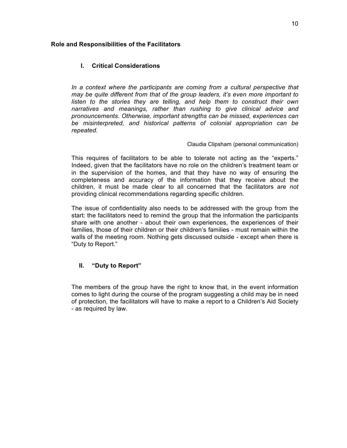### **Role and Responsibilities of the Facilitators**

## **I. Critical Considerations**

In a context where the participants are coming from a cultural perspective that *may be quite different from that of the group leaders, it's even more important to listen to the stories they are telling, and help them to construct their own narratives and meanings, rather than rushing to give clinical advice and pronouncements. Otherwise, important strengths can be missed, experiences can be misinterpreted, and historical patterns of colonial appropriation can be repeated.* 

#### Claudia Clipsham (personal communication)

This requires of facilitators to be able to tolerate not acting as the "experts." Indeed, given that the facilitators have no role on the children's treatment team or in the supervision of the homes, and that they have no way of ensuring the completeness and accuracy of the information that they receive about the children, it must be made clear to all concerned that the facilitators are *not* providing clinical recommendations regarding specific children.

The issue of confidentiality also needs to be addressed with the group from the start: the facilitators need to remind the group that the information the participants share with one another - about their own experiences, the experiences of their families, those of their children or their children's families - must remain within the walls of the meeting room. Nothing gets discussed outside - except when there is "Duty to Report."

## **II. "Duty to Report"**

The members of the group have the right to know that, in the event information comes to light during the course of the program suggesting a child may be in need of protection, the facilitators will have to make a report to a Children's Aid Society - as required by law.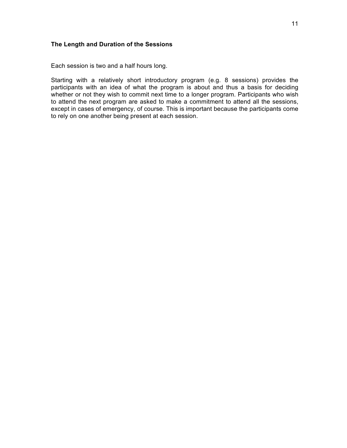## **The Length and Duration of the Sessions**

Each session is two and a half hours long.

Starting with a relatively short introductory program (e.g. 8 sessions) provides the participants with an idea of what the program is about and thus a basis for deciding whether or not they wish to commit next time to a longer program. Participants who wish to attend the next program are asked to make a commitment to attend all the sessions, except in cases of emergency, of course. This is important because the participants come to rely on one another being present at each session.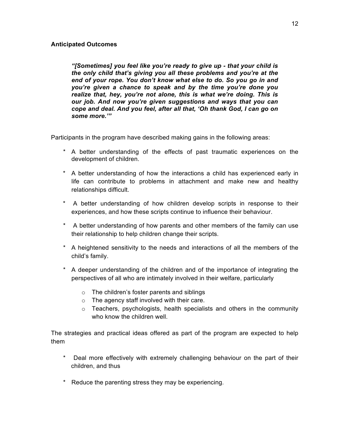## **Anticipated Outcomes**

*"[Sometimes] you feel like you're ready to give up - that your child is the only child that's giving you all these problems and you're at the end of your rope. You don't know what else to do. So you go in and you're given a chance to speak and by the time you're done you realize that, hey, you're not alone, this is what we're doing. This is our job. And now you're given suggestions and ways that you can cope and deal. And you feel, after all that, 'Oh thank God, I can go on some more.'"*

Participants in the program have described making gains in the following areas:

- \* A better understanding of the effects of past traumatic experiences on the development of children.
- \* A better understanding of how the interactions a child has experienced early in life can contribute to problems in attachment and make new and healthy relationships difficult.
- \* A better understanding of how children develop scripts in response to their experiences, and how these scripts continue to influence their behaviour.
- \* A better understanding of how parents and other members of the family can use their relationship to help children change their scripts.
- \* A heightened sensitivity to the needs and interactions of all the members of the child's family.
- \* A deeper understanding of the children and of the importance of integrating the perspectives of all who are intimately involved in their welfare, particularly
	- o The children's foster parents and siblings
	- o The agency staff involved with their care.
	- $\circ$  Teachers, psychologists, health specialists and others in the community who know the children well.

The strategies and practical ideas offered as part of the program are expected to help them

- Deal more effectively with extremely challenging behaviour on the part of their children, and thus
- \* Reduce the parenting stress they may be experiencing.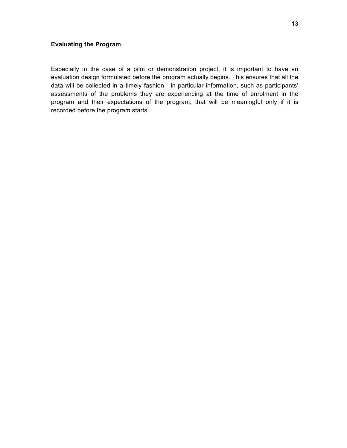## **Evaluating the Program**

Especially in the case of a pilot or demonstration project, it is important to have an evaluation design formulated before the program actually begins. This ensures that all the data will be collected in a timely fashion - in particular information, such as participants' assessments of the problems they are experiencing at the time of enrolment in the program and their expectations of the program, that will be meaningful only if it is recorded before the program starts.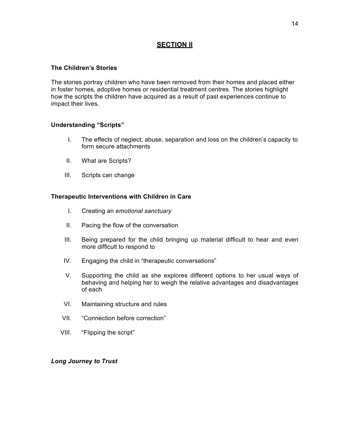## **SECTION II**

### **The Children's Stories**

The stories portray children who have been removed from their homes and placed either in foster homes, adoptive homes or residential treatment centres. The stories highlight how the scripts the children have acquired as a result of past experiences continue to impact their lives.

### **Understanding "Scripts"**

- I. The effects of neglect, abuse, separation and loss on the children's capacity to form secure attachments
- II. What are Scripts?
- III. Scripts can change

### **Therapeutic Interventions with Children in Care**

- I. Creating an *emotional sanctuary*
- II. Pacing the flow of the conversation
- III. Being prepared for the child bringing up material difficult to hear and even more difficult to respond to
- IV. Engaging the child in "therapeutic conversations"
- V. Supporting the child as she explores different options to her usual ways of behaving and helping her to weigh the relative advantages and disadvantages of each
- VI. Maintaining structure and rules
- VII. "Connection before correction"
- VIII. "Flipping the script"

## *Long Journey to Trust*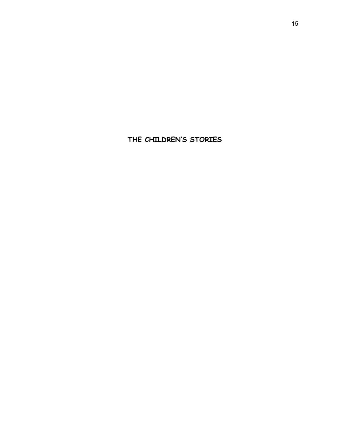**THE CHILDREN'S STORIES**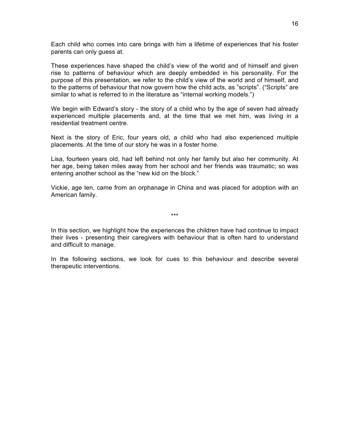Each child who comes into care brings with him a lifetime of experiences that his foster parents can only guess at.

These experiences have shaped the child's view of the world and of himself and given rise to patterns of behaviour which are deeply embedded in his personality. For the purpose of this presentation, we refer to the child's view of the world and of himself, and to the patterns of behaviour that now govern how the child acts, as "scripts". ("Scripts" are similar to what is referred to in the literature as "internal working models.")

We begin with Edward's story - the story of a child who by the age of seven had already experienced multiple placements and, at the time that we met him, was living in a residential treatment centre.

Next is the story of Eric, four years old, a child who had also experienced multiple placements. At the time of our story he was in a foster home.

Lisa, fourteen years old, had left behind not only her family but also her community. At her age, being taken miles away from her school and her friends was traumatic; so was entering another school as the "new kid on the block."

Vickie, age ten, came from an orphanage in China and was placed for adoption with an American family.

\*\*\*

In this section, we highlight how the experiences the children have had continue to impact their lives - presenting their caregivers with behaviour that is often hard to understand and difficult to manage.

In the following sections, we look for cues to this behaviour and describe several therapeutic interventions.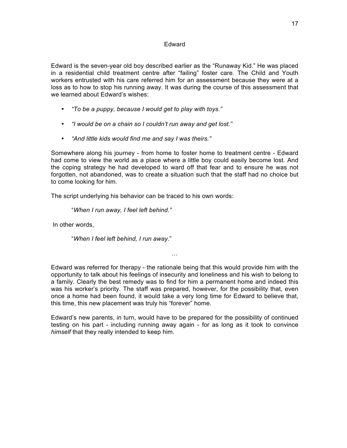#### Edward

Edward is the seven-year old boy described earlier as the "Runaway Kid." He was placed in a residential child treatment centre after "failing" foster care. The Child and Youth workers entrusted with his care referred him for an assessment because they were at a loss as to how to stop his running away. It was during the course of this assessment that we learned about Edward's wishes:

- *"To be a puppy, because I would get to play with toys."*
- *"I would be on a chain so I couldn't run away and get lost."*
- *"And little kids would find me and say I was theirs."*

Somewhere along his journey - from home to foster home to treatment centre - Edward had come to view the world as a place where a little boy could easily become lost. And the coping strategy he had developed to ward off that fear and to ensure he was not forgotten, not abandoned, was to create a situation such that the staff had no choice but to come looking for him.

The script underlying his behavior can be traced to his own words:

"*When I run away, I feel left behind."*

In other words,

"*When I feel left behind, I run away*."

Edward was referred for therapy - the rationale being that this would provide him with the opportunity to talk about his feelings of insecurity and loneliness and his wish to belong to a family. Clearly the best remedy was to find for him a permanent home and indeed this was his worker's priority. The staff was prepared, however, for the possibility that, even once a home had been found, it would take a very long time for Edward to believe that, this time, this new placement was truly his "forever" home.

…

Edward's new parents, in turn, would have to be prepared for the possibility of continued testing on his part - including running away again - for as long as it took to convince *himself* that they really intended to keep him.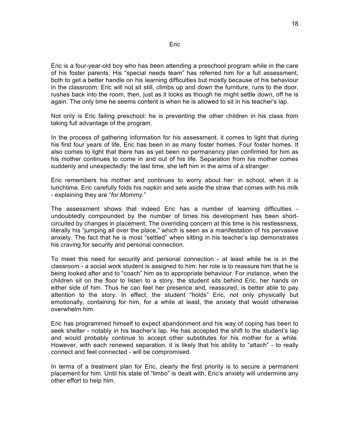Eric is a four-year-old boy who has been attending a preschool program while in the care of his foster parents. His "special needs team" has referred him for a full assessment, both to get a better handle on his learning difficulties but mostly because of his behaviour in the classroom: Eric will not sit still, climbs up and down the furniture, runs to the door, rushes back into the room, then, just as it looks as though he might settle down, off he is again. The only time he seems content is when he is allowed to sit in his teacher's lap.

Not only is Eric failing preschool: he is preventing the other children in his class from taking full advantage of the program.

In the process of gathering information for his assessment, it comes to light that during his first four years of life, Eric has been in as many foster homes. Four foster homes. It also comes to light that there has as yet been no permanency plan confirmed for him as his mother continues to come in and out of his life. Separation from his mother comes suddenly and unexpectedly: the last time, she left him in the arms of a stranger.

Eric remembers his mother and continues to worry about her: in school, when it is lunchtime, Eric carefully folds his napkin and sets aside the straw that comes with his milk - explaining they are "*for Mommy*."

The assessment shows that indeed Eric has a number of learning difficulties undoubtedly compounded by the number of times his development has been shortcircuited by changes in placement. The overriding concern at this time is his restlessness, literally his "jumping all over the place," which is seen as a manifestation of his pervasive anxiety. The fact that he is most "settled" when sitting in his teacher's lap demonstrates his craving for security and personal connection.

To meet this need for security and personal connection - at least while he is in the classroom - a social work student is assigned to him: her role is to reassure him that he is being looked after and to "coach" him as to appropriate behaviour. For instance, when the children sit on the floor to listen to a story, the student sits behind Eric, her hands on either side of him. Thus he can feel her presence and, reassured, is better able to pay attention to the story. In effect, the student "holds" Eric, not only physically but emotionally, containing for him, for a while at least, the anxiety that would otherwise overwhelm him.

Eric has programmed himself to expect abandonment and his way of coping has been to seek shelter - notably in his teacher's lap. He has accepted the shift to the student's lap and would probably continue to accept other substitutes for his mother for a while. However, with each renewed separation, it is likely that his ability to "attach" - to really connect and feel connected - will be compromised.

In terms of a treatment plan for Eric, clearly the first priority is to secure a permanent placement for him. Until his state of "limbo" is dealt with, Eric's anxiety will undermine any other effort to help him.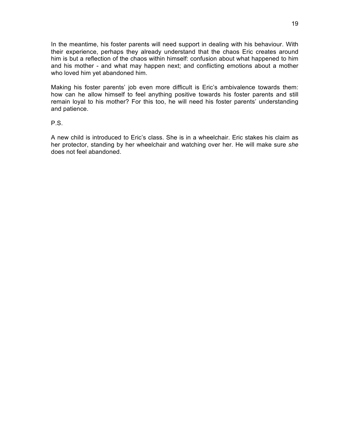In the meantime, his foster parents will need support in dealing with his behaviour. With their experience, perhaps they already understand that the chaos Eric creates around him is but a reflection of the chaos within himself: confusion about what happened to him and his mother - and what may happen next; and conflicting emotions about a mother who loved him yet abandoned him.

Making his foster parents' job even more difficult is Eric's ambivalence towards them: how can he allow himself to feel anything positive towards his foster parents and still remain loyal to his mother? For this too, he will need his foster parents' understanding and patience.

P.S.

A new child is introduced to Eric's class. She is in a wheelchair. Eric stakes his claim as her protector, standing by her wheelchair and watching over her. He will make sure *she*  does not feel abandoned.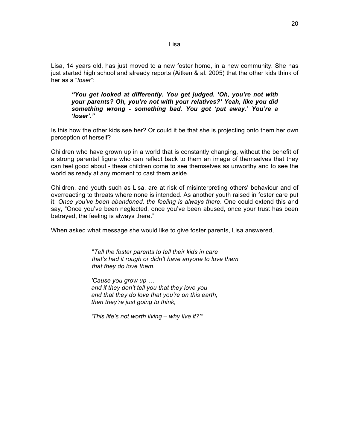Lisa, 14 years old, has just moved to a new foster home, in a new community. She has just started high school and already reports (Aitken & al. 2005) that the other kids think of her as a "*loser*":

*"You get looked at differently. You get judged. 'Oh, you're not with your parents? Oh, you're not with your relatives?' Yeah, like you did something wrong - something bad. You got 'put away.' You're a 'loser'."*

Is this how the other kids see her? Or could it be that she is projecting onto them her own perception of herself?

Children who have grown up in a world that is constantly changing, without the benefit of a strong parental figure who can reflect back to them an image of themselves that they can feel good about - these children come to see themselves as unworthy and to see the world as ready at any moment to cast them aside.

Children, and youth such as Lisa, are at risk of misinterpreting others' behaviour and of overreacting to threats where none is intended. As another youth raised in foster care put it: *Once you've been abandoned, the feeling is always there.* One could extend this and say, "Once you've been neglected, once you've been abused, once your trust has been betrayed, the feeling is always there."

When asked what message she would like to give foster parents, Lisa answered,

"*Tell the foster parents to tell their kids in care that's had it rough or didn't have anyone to love them that they do love them.*

*'Cause you grow up … and if they don't tell you that they love you and that they do love that you're on this earth, then they're just going to think,*

*'This life's not worth living – why live it?'"*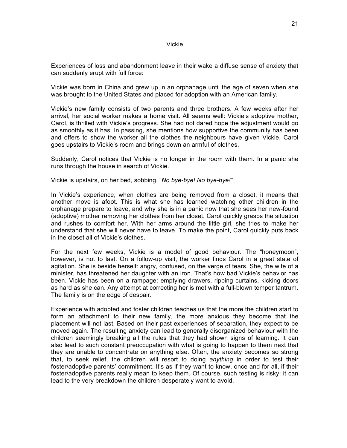#### Vickie

Experiences of loss and abandonment leave in their wake a diffuse sense of anxiety that can suddenly erupt with full force:

Vickie was born in China and grew up in an orphanage until the age of seven when she was brought to the United States and placed for adoption with an American family.

Vickie's new family consists of two parents and three brothers. A few weeks after her arrival, her social worker makes a home visit. All seems well: Vickie's adoptive mother, Carol, is thrilled with Vickie's progress. She had not dared hope the adjustment would go as smoothly as it has. In passing, she mentions how supportive the community has been and offers to show the worker all the clothes the neighbours have given Vickie. Carol goes upstairs to Vickie's room and brings down an armful of clothes.

Suddenly, Carol notices that Vickie is no longer in the room with them. In a panic she runs through the house in search of Vickie.

Vickie is upstairs, on her bed, sobbing, "*No bye-bye! No bye-bye!"*

In Vickie's experience, when clothes are being removed from a closet, it means that another move is afoot. This is what she has learned watching other children in the orphanage prepare to leave, and why she is in a panic now that she sees her new-found (adoptive) mother removing her clothes from her closet. Carol quickly grasps the situation and rushes to comfort her. With her arms around the little girl, she tries to make her understand that she will never have to leave. To make the point, Carol quickly puts back in the closet all of Vickie's clothes.

For the next few weeks, Vickie is a model of good behaviour. The "honeymoon", however, is not to last. On a follow-up visit, the worker finds Carol in a great state of agitation. She is beside herself: angry, confused, on the verge of tears. She, the wife of a minister, has threatened her daughter with an iron. That's how bad Vickie's behavior has been. Vickie has been on a rampage: emptying drawers, ripping curtains, kicking doors as hard as she can. Any attempt at correcting her is met with a full-blown temper tantrum. The family is on the edge of despair.

Experience with adopted and foster children teaches us that the more the children start to form an attachment to their new family, the more anxious they become that the placement will not last. Based on their past experiences of separation, they expect to be moved again. The resulting anxiety can lead to generally disorganized behaviour with the children seemingly breaking all the rules that they had shown signs of learning. It can also lead to such constant preoccupation with what is going to happen to them next that they are unable to concentrate on anything else. Often, the anxiety becomes so strong that, to seek relief, the children will resort to doing *anything* in order to test their foster/adoptive parents' commitment. It's as if they want to know, once and for all, if their foster/adoptive parents really mean to keep them. Of course, such testing is risky: it can lead to the very breakdown the children desperately want to avoid.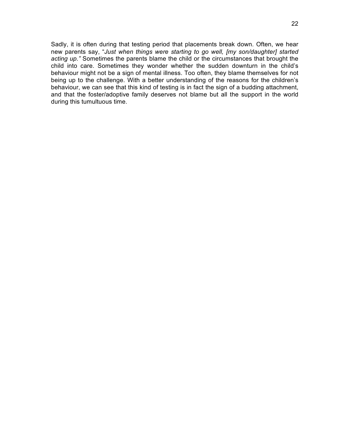Sadly, it is often during that testing period that placements break down. Often, we hear new parents say, "*Just when things were starting to go well, [my son/daughter] started acting up."* Sometimes the parents blame the child or the circumstances that brought the child into care. Sometimes they wonder whether the sudden downturn in the child's behaviour might not be a sign of mental illness. Too often, they blame themselves for not being up to the challenge. With a better understanding of the reasons for the children's behaviour, we can see that this kind of testing is in fact the sign of a budding attachment, and that the foster/adoptive family deserves not blame but all the support in the world during this tumultuous time.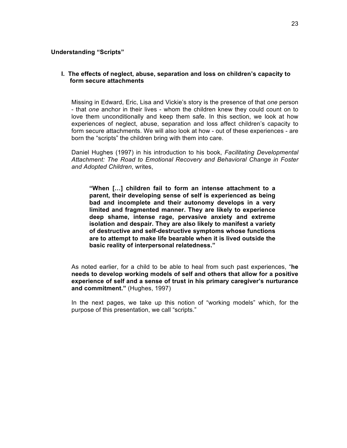### **Understanding "Scripts"**

### **I. The effects of neglect, abuse, separation and loss on children's capacity to form secure attachments**

Missing in Edward, Eric, Lisa and Vickie's story is the presence of that *one* person - that *one* anchor in their lives - whom the children knew they could count on to love them unconditionally and keep them safe. In this section, we look at how experiences of neglect, abuse, separation and loss affect children's capacity to form secure attachments. We will also look at how - out of these experiences - are born the "scripts" the children bring with them into care.

Daniel Hughes (1997) in his introduction to his book, *Facilitating Developmental Attachment: The Road to Emotional Recovery and Behavioral Change in Foster and Adopted Children*, writes,

**"When […] children fail to form an intense attachment to a parent, their developing sense of self is experienced as being bad and incomplete and their autonomy develops in a very limited and fragmented manner. They are likely to experience deep shame, intense rage, pervasive anxiety and extreme isolation and despair. They are also likely to manifest a variety of destructive and self-destructive symptoms whose functions are to attempt to make life bearable when it is lived outside the basic reality of interpersonal relatedness."** 

As noted earlier, for a child to be able to heal from such past experiences, "**he needs to develop working models of self and others that allow for a positive experience of self and a sense of trust in his primary caregiver's nurturance and commitment."** (Hughes, 1997)

In the next pages, we take up this notion of "working models" which, for the purpose of this presentation, we call "scripts."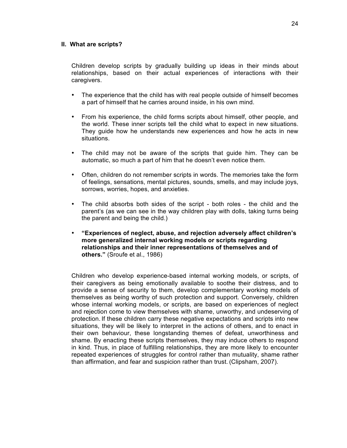#### **II. What are scripts?**

Children develop scripts by gradually building up ideas in their minds about relationships, based on their actual experiences of interactions with their caregivers.

- The experience that the child has with real people outside of himself becomes a part of himself that he carries around inside, in his own mind.
- From his experience, the child forms scripts about himself, other people, and the world. These inner scripts tell the child what to expect in new situations. They guide how he understands new experiences and how he acts in new situations.
- The child may not be aware of the scripts that guide him. They can be automatic, so much a part of him that he doesn't even notice them.
- Often, children do not remember scripts in words. The memories take the form of feelings, sensations, mental pictures, sounds, smells, and may include joys, sorrows, worries, hopes, and anxieties.
- The child absorbs both sides of the script both roles the child and the parent's (as we can see in the way children play with dolls, taking turns being the parent and being the child.)
- **"Experiences of neglect, abuse, and rejection adversely affect children's more generalized internal working models or scripts regarding relationships and their inner representations of themselves and of others."** (Sroufe et al., 1986)

Children who develop experience-based internal working models, or scripts, of their caregivers as being emotionally available to soothe their distress, and to provide a sense of security to them, develop complementary working models of themselves as being worthy of such protection and support. Conversely, children whose internal working models, or scripts, are based on experiences of neglect and rejection come to view themselves with shame, unworthy, and undeserving of protection. If these children carry these negative expectations and scripts into new situations, they will be likely to interpret in the actions of others, and to enact in their own behaviour, these longstanding themes of defeat, unworthiness and shame. By enacting these scripts themselves, they may induce others to respond in kind. Thus, in place of fulfilling relationships, they are more likely to encounter repeated experiences of struggles for control rather than mutuality, shame rather than affirmation, and fear and suspicion rather than trust. (Clipsham, 2007).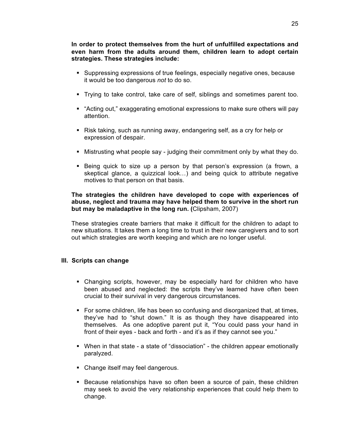**In order to protect themselves from the hurt of unfulfilled expectations and even harm from the adults around them, children learn to adopt certain strategies. These strategies include:**

- § Suppressing expressions of true feelings, especially negative ones, because it would be too dangerous *not* to do so.
- § Trying to take control, take care of self, siblings and sometimes parent too.
- § "Acting out," exaggerating emotional expressions to make sure others will pay attention.
- Risk taking, such as running away, endangering self, as a cry for help or expression of despair.
- Mistrusting what people say judging their commitment only by what they do.
- § Being quick to size up a person by that person's expression (a frown, a skeptical glance, a quizzical look…) and being quick to attribute negative motives to that person on that basis.

### **The strategies the children have developed to cope with experiences of abuse, neglect and trauma may have helped them to survive in the short run but may be maladaptive in the long run. (**Clipsham, 2007)

These strategies create barriers that make it difficult for the children to adapt to new situations. It takes them a long time to trust in their new caregivers and to sort out which strategies are worth keeping and which are no longer useful.

### **III. Scripts can change**

- Changing scripts, however, may be especially hard for children who have been abused and neglected: the scripts they've learned have often been crucial to their survival in very dangerous circumstances.
- § For some children, life has been so confusing and disorganized that, at times, they've had to "shut down." It is as though they have disappeared into themselves. As one adoptive parent put it, "You could pass your hand in front of their eyes - back and forth - and it's as if they cannot see you."
- § When in that state a state of "dissociation" the children appear emotionally paralyzed.
- Change itself may feel dangerous.
- § Because relationships have so often been a source of pain, these children may seek to avoid the very relationship experiences that could help them to change.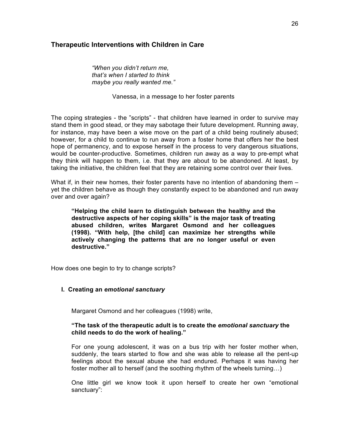## **Therapeutic Interventions with Children in Care**

*"When you didn't return me, that's when I started to think maybe you really wanted me."*

Vanessa, in a message to her foster parents

The coping strategies - the "scripts" - that children have learned in order to survive may stand them in good stead, or they may sabotage their future development. Running away, for instance, may have been a wise move on the part of a child being routinely abused; however, for a child to continue to run away from a foster home that offers her the best hope of permanency, and to expose herself in the process to very dangerous situations, would be counter-productive. Sometimes, children run away as a way to pre-empt what they think will happen to them, i.e. that they are about to be abandoned. At least, by taking the initiative, the children feel that they are retaining some control over their lives.

What if, in their new homes, their foster parents have no intention of abandoning them – yet the children behave as though they constantly expect to be abandoned and run away over and over again?

**"Helping the child learn to distinguish between the healthy and the destructive aspects of her coping skills" is the major task of treating abused children, writes Margaret Osmond and her colleagues (1998). "With help, [the child] can maximize her strengths while actively changing the patterns that are no longer useful or even destructive."**

How does one begin to try to change scripts?

### **I. Creating an** *emotional sanctuary*

Margaret Osmond and her colleagues (1998) write,

## **"The task of the therapeutic adult is to create the** *emotional sanctuary* **the child needs to do the work of healing."**

For one young adolescent, it was on a bus trip with her foster mother when, suddenly, the tears started to flow and she was able to release all the pent-up feelings about the sexual abuse she had endured. Perhaps it was having her foster mother all to herself (and the soothing rhythm of the wheels turning…)

One little girl we know took it upon herself to create her own "emotional sanctuary":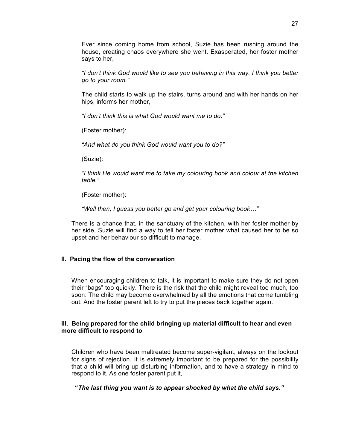Ever since coming home from school, Suzie has been rushing around the house, creating chaos everywhere she went. Exasperated, her foster mother says to her,

*"I don't think God would like to see you behaving in this way. I think you better go to your room."*

The child starts to walk up the stairs, turns around and with her hands on her hips, informs her mother,

*"I don't think this is what God would want me to do."*

(Foster mother):

*"And what do you think God would want you to do?"*

(Suzie):

*"I think He would want me to take my colouring book and colour at the kitchen table."*

(Foster mother):

*"Well then, I guess you better go and get your colouring book…"*

There is a chance that, in the sanctuary of the kitchen, with her foster mother by her side, Suzie will find a way to tell her foster mother what caused her to be so upset and her behaviour so difficult to manage.

### **II. Pacing the flow of the conversation**

When encouraging children to talk, it is important to make sure they do not open their "bags" too quickly. There is the risk that the child might reveal too much, too soon. The child may become overwhelmed by all the emotions that come tumbling out. And the foster parent left to try to put the pieces back together again.

### **III. Being prepared for the child bringing up material difficult to hear and even more difficult to respond to**

Children who have been maltreated become super-vigilant, always on the lookout for signs of rejection. It is extremely important to be prepared for the possibility that a child will bring up disturbing information, and to have a strategy in mind to respond to it. As one foster parent put it,

 **"***The last thing you want is to appear shocked by what the child says."*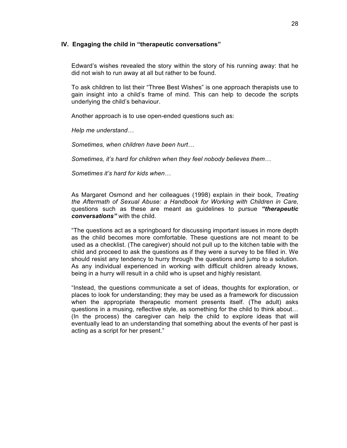#### **IV. Engaging the child in "therapeutic conversations"**

Edward's wishes revealed the story within the story of his running away: that he did not wish to run away at all but rather to be found.

To ask children to list their "Three Best Wishes" is one approach therapists use to gain insight into a child's frame of mind. This can help to decode the scripts underlying the child's behaviour.

Another approach is to use open-ended questions such as:

*Help me understand…*

*Sometimes, when children have been hurt…*

*Sometimes, it's hard for children when they feel nobody believes them…*

*Sometimes it's hard for kids when…*

As Margaret Osmond and her colleagues (1998) explain in their book, *Treating the Aftermath of Sexual Abuse: a Handbook for Working with Children in Care,*  questions such as these are meant as guidelines to pursue *"therapeutic conversations"* with the child.

"The questions act as a springboard for discussing important issues in more depth as the child becomes more comfortable. These questions are not meant to be used as a checklist. (The caregiver) should not pull up to the kitchen table with the child and proceed to ask the questions as if they were a survey to be filled in. We should resist any tendency to hurry through the questions and jump to a solution. As any individual experienced in working with difficult children already knows, being in a hurry will result in a child who is upset and highly resistant.

"Instead, the questions communicate a set of ideas, thoughts for exploration, or places to look for understanding; they may be used as a framework for discussion when the appropriate therapeutic moment presents itself. (The adult) asks questions in a musing, reflective style, as something for the child to think about… (In the process) the caregiver can help the child to explore ideas that will eventually lead to an understanding that something about the events of her past is acting as a script for her present."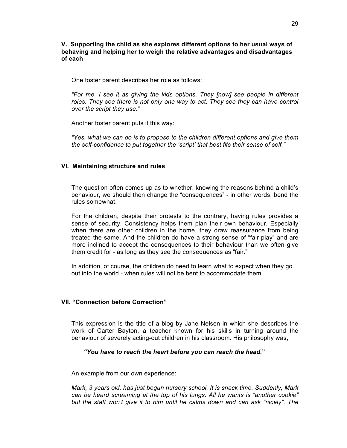**V. Supporting the child as she explores different options to her usual ways of behaving and helping her to weigh the relative advantages and disadvantages of each**

One foster parent describes her role as follows:

*"For me, I see it as giving the kids options. They [now] see people in different*  roles. They see there is not only one way to act. They see they can have control *over the script they use."*

Another foster parent puts it this way:

*"Yes, what we can do is to propose to the children different options and give them the self-confidence to put together the 'script' that best fits their sense of self."*

#### **VI. Maintaining structure and rules**

The question often comes up as to whether, knowing the reasons behind a child's behaviour, we should then change the "consequences" - in other words, bend the rules somewhat.

For the children, despite their protests to the contrary, having rules provides a sense of security. Consistency helps them plan their own behaviour. Especially when there are other children in the home, they draw reassurance from being treated the same. And the children do have a strong sense of "fair play" and are more inclined to accept the consequences to their behaviour than we often give them credit for - as long as they see the consequences as "fair."

In addition, of course, the children do need to learn what to expect when they go out into the world - when rules will not be bent to accommodate them.

### **VII. "Connection before Correction"**

This expression is the title of a blog by Jane Nelsen in which she describes the work of Carter Bayton, a teacher known for his skills in turning around the behaviour of severely acting-out children in his classroom. His philosophy was,

#### *"You have to reach the heart before you can reach the head.***"**

An example from our own experience:

*Mark, 3 years old, has just begun nursery school. It is snack time. Suddenly, Mark can be heard screaming at the top of his lungs. All he wants is "another cookie" but the staff won't give it to him until he calms down and can ask "nicely". The*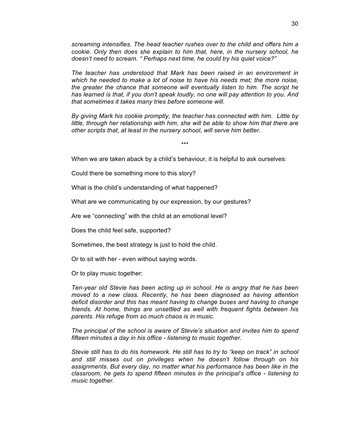*screaming intensifies. The head teacher rushes over to the child and offers him a cookie. Only then does she explain to him that, here, in the nursery school, he doesn't need to scream. " Perhaps next time, he could try his quiet voice?"*

*The teacher has understood that Mark has been raised in an environment in which he needed to make a lot of noise to have his needs met; the more noise, the greater the chance that someone will eventually listen to him. The script he has learned is that, if you don't speak loudly, no one will pay attention to you. And that sometimes it takes many tries before someone will.* 

*By giving Mark his cookie promptly, the teacher has connected with him. Little by*  little, through her relationship with him, she will be able to show him that there are *other scripts that, at least in the nursery school, will serve him better.*

\*\*\*

When we are taken aback by a child's behaviour, it is helpful to ask ourselves:

Could there be something more to this story?

What is the child's understanding of what happened?

What are we communicating by our expression, by our gestures?

Are we "connecting" with the child at an emotional level?

Does the child feel safe, supported?

Sometimes, the best strategy is just to hold the child.

Or to sit with her - even without saying words.

Or to play music together:

*Ten-year old Stevie has been acting up in school. He is angry that he has been moved to a new class. Recently, he has been diagnosed as having attention deficit disorder and this has meant having to change buses and having to change friends. At home, things are unsettled as well with frequent fights between his parents. His refuge from so much chaos is in music.*

*The principal of the school is aware of Stevie's situation and invites him to spend fifteen minutes a day in his office - listening to music together.*

*Stevie still has to do his homework. He still has to try to "keep on track" in school and still misses out on privileges when he doesn't follow through on his assignments. But every day, no matter what his performance has been like in the classroom, he gets to spend fifteen minutes in the principal's office - listening to music together.*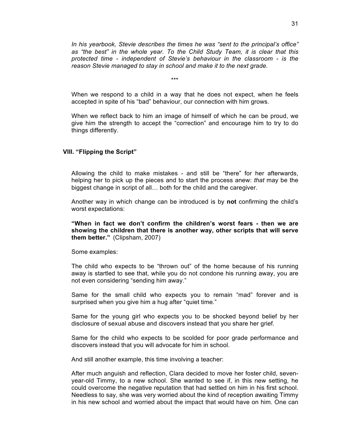*In his yearbook, Stevie describes the times he was "sent to the principal's office" as "the best" in the whole year. To the Child Study Team, it is clear that this protected time - independent of Stevie's behaviour in the classroom - is the reason Stevie managed to stay in school and make it to the next grade.*

\*\*\*

When we respond to a child in a way that he does not expect, when he feels accepted in spite of his "bad" behaviour, our connection with him grows.

When we reflect back to him an image of himself of which he can be proud, we give him the strength to accept the "correction" and encourage him to try to do things differently.

#### **VIII. "Flipping the Script"**

Allowing the child to make mistakes - and still be "there" for her afterwards, helping her to pick up the pieces and to start the process anew: *that* may be the biggest change in script of all… both for the child and the caregiver.

Another way in which change can be introduced is by **not** confirming the child's worst expectations:

**"When in fact we don't confirm the children's worst fears - then we are showing the children that there is another way, other scripts that will serve them better."** (Clipsham, 2007)

Some examples:

The child who expects to be "thrown out" of the home because of his running away is startled to see that, while you do not condone his running away, you are not even considering "sending him away."

Same for the small child who expects you to remain "mad" forever and is surprised when you give him a hug after "quiet time."

Same for the young girl who expects you to be shocked beyond belief by her disclosure of sexual abuse and discovers instead that you share her grief.

Same for the child who expects to be scolded for poor grade performance and discovers instead that you will advocate for him in school.

And still another example, this time involving a teacher:

After much anguish and reflection, Clara decided to move her foster child, sevenyear-old Timmy, to a new school. She wanted to see if, in this new setting, he could overcome the negative reputation that had settled on him in his first school. Needless to say, she was very worried about the kind of reception awaiting Timmy in his new school and worried about the impact that would have on him. One can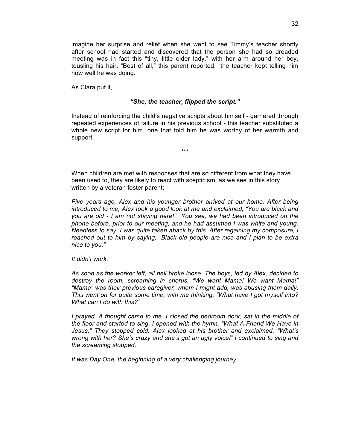imagine her surprise and relief when she went to see Timmy's teacher shortly after school had started and discovered that the person she had so dreaded meeting was in fact this "tiny, little older lady," with her arm around her boy, tousling his hair. "Best of all," this parent reported, "the teacher kept telling him how well he was doing."

As Clara put it,

#### *"She, the teacher, flipped the script."*

Instead of reinforcing the child's negative scripts about himself - garnered through repeated experiences of failure in his previous school - this teacher substituted a whole new script for him, one that told him he was worthy of her warmth and support.

\*\*\*

When children are met with responses that are so different from what they have been used to, they are likely to react with scepticism, as we see in this story written by a veteran foster parent:

*Five years ago, Alex and his younger brother arrived at our home. After being introduced to me, Alex took a good look at me and exclaimed, "You are black and you are old - I am not staying here!" You see, we had been introduced on the phone before, prior to our meeting, and he had assumed I was white and young. Needless to say, I was quite taken aback by this. After regaining my composure, I reached out to him by saying, "Black old people are nice and I plan to be extra nice to you."* 

*It didn't work.* 

*As soon as the worker left, all hell broke loose. The boys, led by Alex, decided to destroy the room, screaming in chorus, "We want Mama! We want Mama!" "Mama" was their previous caregiver, whom I might add, was abusing them daily. This went on for quite some time, with me thinking, "What have I got myself into? What can I do with this?"*

*I prayed. A thought came to me. I closed the bedroom door, sat in the middle of the floor and started to sing. I opened with the hymn, "What A Friend We Have in Jesus." They stopped cold. Alex looked at his brother and exclaimed, "What's wrong with her? She's crazy and she's got an ugly voice!" I continued to sing and the screaming stopped.* 

*It was Day One, the beginning of a very challenging journey.*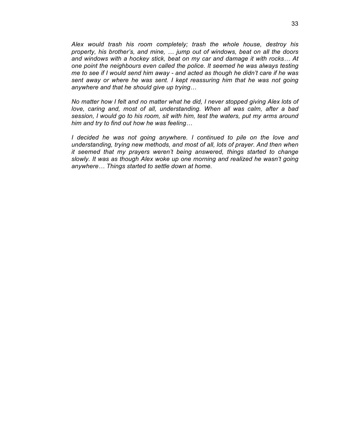*Alex would trash his room completely; trash the whole house, destroy his property, his brother's, and mine, … jump out of windows, beat on all the doors and windows with a hockey stick, beat on my car and damage it with rocks… At one point the neighbours even called the police. It seemed he was always testing me to see if I would send him away - and acted as though he didn't care if he was*  sent away or where he was sent. I kept reassuring him that he was not going *anywhere and that he should give up trying…*

*No matter how I felt and no matter what he did, I never stopped giving Alex lots of love, caring and, most of all, understanding. When all was calm, after a bad session, I would go to his room, sit with him, test the waters, put my arms around him and try to find out how he was feeling…*

*I* decided he was not going anywhere. I continued to pile on the love and *understanding, trying new methods, and most of all, lots of prayer. And then when it seemed that my prayers weren't being answered, things started to change slowly. It was as though Alex woke up one morning and realized he wasn't going anywhere… Things started to settle down at home.*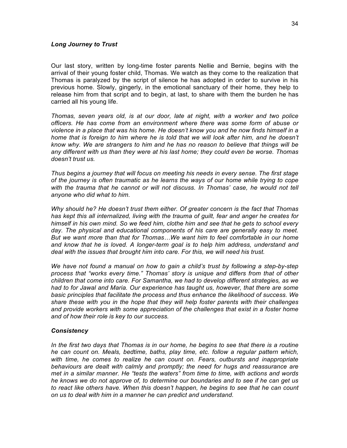#### *Long Journey to Trust*

Our last story, written by long-time foster parents Nellie and Bernie, begins with the arrival of their young foster child, Thomas. We watch as they come to the realization that Thomas is paralyzed by the script of silence he has adopted in order to survive in his previous home. Slowly, gingerly, in the emotional sanctuary of their home, they help to release him from that script and to begin, at last, to share with them the burden he has carried all his young life.

*Thomas, seven years old, is at our door, late at night, with a worker and two police officers. He has come from an environment where there was some form of abuse or violence in a place that was his home. He doesn't know you and he now finds himself in a home that is foreign to him where he is told that we will look after him, and he doesn't know why. We are strangers to him and he has no reason to believe that things will be any different with us than they were at his last home; they could even be worse. Thomas doesn't trust us.*

*Thus begins a journey that will focus on meeting his needs in every sense. The first stage of the journey is often traumatic as he learns the ways of our home while trying to cope*  with the trauma that he cannot or will not discuss. In Thomas' case, he would not tell *anyone who did what to him.*

*Why should he? He doesn't trust them either. Of greater concern is the fact that Thomas has kept this all internalized, living with the trauma of guilt, fear and anger he creates for himself in his own mind. So we feed him, clothe him and see that he gets to school every day. The physical and educational components of his care are generally easy to meet. But we want more than that for Thomas…We want him to feel comfortable in our home and know that he is loved. A longer-term goal is to help him address, understand and deal with the issues that brought him into care. For this, we will need his trust.*

*We have not found a manual on how to gain a child's trust by following a step-by-step process that "works every time." Thomas' story is unique and differs from that of other children that come into care. For Samantha, we had to develop different strategies, as we had to for Jawal and Maria. Our experience has taught us, however, that there are some basic principles that facilitate the process and thus enhance the likelihood of success. We share these with you in the hope that they will help foster parents with their challenges and provide workers with some appreciation of the challenges that exist in a foster home and of how their role is key to our success.*

### *Consistency*

In the first two days that Thomas is in our home, he begins to see that there is a routine *he can count on. Meals, bedtime, baths, play time, etc. follow a regular pattern which, with time, he comes to realize he can count on. Fears, outbursts and inappropriate behaviours are dealt with calmly and promptly; the need for hugs and reassurance are met in a similar manner. He "tests the waters" from time to time, with actions and words he knows we do not approve of, to determine our boundaries and to see if he can get us to react like others have. When this doesn't happen, he begins to see that he can count on us to deal with him in a manner he can predict and understand.*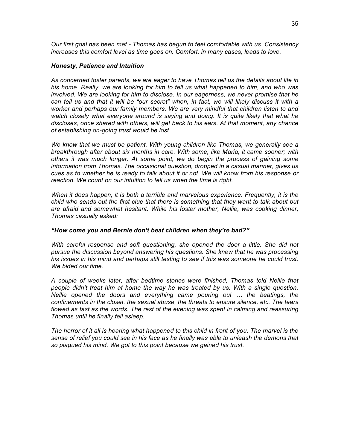*Our first goal has been met - Thomas has begun to feel comfortable with us. Consistency increases this comfort level as time goes on. Comfort, in many cases, leads to love.*

#### *Honesty, Patience and Intuition*

*As concerned foster parents, we are eager to have Thomas tell us the details about life in his home. Really, we are looking for him to tell us what happened to him, and who was involved. We are looking for him to disclose. In our eagerness, we never promise that he can tell us and that it will be "our secret" when, in fact, we will likely discuss it with a worker and perhaps our family members. We are very mindful that children listen to and watch closely what everyone around is saying and doing. It is quite likely that what he discloses, once shared with others, will get back to his ears. At that moment, any chance of establishing on-going trust would be lost.*

*We know that we must be patient. With young children like Thomas, we generally see a breakthrough after about six months in care. With some, like Maria, it came sooner; with others it was much longer. At some point, we do begin the process of gaining some information from Thomas. The occasional question, dropped in a casual manner, gives us cues as to whether he is ready to talk about it or not. We will know from his response or reaction. We count on our intuition to tell us when the time is right.*

*When it does happen, it is both a terrible and marvelous experience. Frequently, it is the child who sends out the first clue that there is something that they want to talk about but are afraid and somewhat hesitant. While his foster mother, Nellie, was cooking dinner, Thomas casually asked:* 

#### *"How come you and Bernie don't beat children when they're bad?"*

*With careful response and soft questioning, she opened the door a little. She did not pursue the discussion beyond answering his questions. She knew that he was processing his issues in his mind and perhaps still testing to see if this was someone he could trust. We bided our time.*

*A couple of weeks later, after bedtime stories were finished, Thomas told Nellie that people didn't treat him at home the way he was treated by us. With a single question, Nellie opened the doors and everything came pouring out … the beatings, the confinements in the closet, the sexual abuse, the threats to ensure silence, etc. The tears flowed as fast as the words. The rest of the evening was spent in calming and reassuring Thomas until he finally fell asleep.*

*The horror of it all is hearing what happened to this child in front of you. The marvel is the sense of relief you could see in his face as he finally was able to unleash the demons that so plagued his mind. We got to this point because we gained his trust.*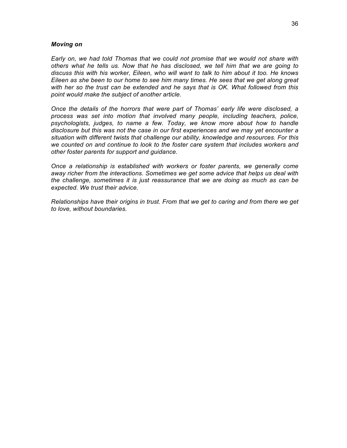#### *Moving on*

*Early on, we had told Thomas that we could not promise that we would not share with others what he tells us. Now that he has disclosed, we tell him that we are going to discuss this with his worker, Eileen, who will want to talk to him about it too. He knows Eileen as she been to our home to see him many times. He sees that we get along great with her so the trust can be extended and he says that is OK. What followed from this point would make the subject of another article.*

*Once the details of the horrors that were part of Thomas' early life were disclosed, a process was set into motion that involved many people, including teachers, police, psychologists, judges, to name a few. Today, we know more about how to handle disclosure but this was not the case in our first experiences and we may yet encounter a situation with different twists that challenge our ability, knowledge and resources. For this we counted on and continue to look to the foster care system that includes workers and other foster parents for support and guidance.*

*Once a relationship is established with workers or foster parents, we generally come away richer from the interactions. Sometimes we get some advice that helps us deal with the challenge, sometimes it is just reassurance that we are doing as much as can be expected. We trust their advice.*

*Relationships have their origins in trust. From that we get to caring and from there we get to love, without boundaries.*